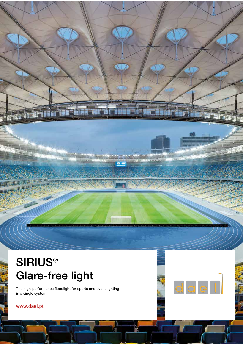# **SIRIUS®** Glare-free light

The high-performance floodlight for sports and event lighting in a single system



www.dael.pt

**RANGE AND REAL** 

J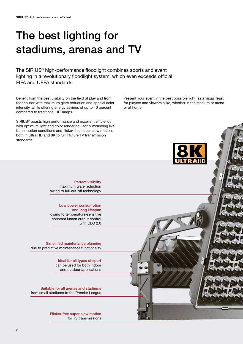# The best lighting for stadiums, arenas and TV

The SIRIUS® high-performance floodlight combines sports and event lighting in a revolutionary floodlight system, which even exceeds official FIFA and UEFA standards.

Benefit from the best visibility on the field of play and from the tribune: with maximum glare reduction and special color intensity, while offering energy savings of up to 40 percent compared to traditional HIT lamps.

SIRIUS® boasts high performance and excellent efficiency with optimum light and color rendering—for outstanding live transmission conditions and flicker-free super slow motion, both in Ultra HD and 8K to fulfill future TV transmission standards.

Present your event in the best possible light, as a visual feast for players and viewers alike, whether in the stadium or arena or at home.



Perfect visibility maximum glare reduction owing to full-cut-off technology

Low power consumption and long lifespan owing to temperature-sensitive constant lumen output control with CLO 2.0

Simplified maintenance planning due to predictive maintenance functionality

> Ideal for all types of sport can be used for both indoor and outdoor applications

Suitable for all arenas and stadiums from small stadiums to the Premier League

> Flicker-free super slow motion for TV transmissions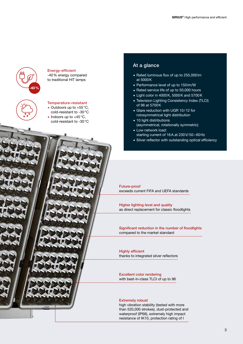

#### Energy-efficient -40% energy compared

to traditional HIT lamps



### Temperature-resistant

- $\bullet$  Outdoors up to +55 °C,
- cold-resistant to -30°C lndoors up to  $+45^{\circ}$ C,
- cold-resistant to -30°C

### At a glance

- . Rated luminous flux of up to 255,000lm at 5000K
- . Performance level of up to 150lm/W
- Rated service life of up to 50,000 hours
- . Light color in 4000K, 5000K and 5700K
- . Television Lighting Consistency Index (TLCI) of 96 at 5700K
- . Glare reduction with UGR 10/12 for rotosymmetrical light distribution
- **10 light distributions** (asymmetrical, rotationally symmetric)
- **Low network load:** starting current of 16A at 230V/50–60Hz
- **E** Silver reflector with outstanding optical efficiency

Future-proof exceeds current FIFA and UEFA standards

Higher lighting level and quality as direct replacement for classic floodlights

Significant reduction in the number of floodlights compared to the market standard

Highly efficient thanks to integrated silver reflectors

Excellent color rendering with best-in-class TLCI of up to 96

#### Extremely robust

high vibration stability (tested with more than 520,000 strokes), dust-protected and waterproof (IP66), extremely high impact resistance of IK10, protection rating of I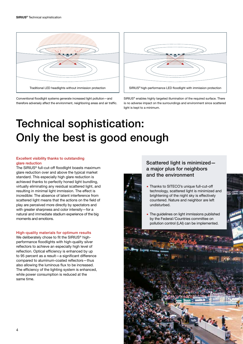

Conventional floodlight systems generate increased light pollution—and therefore adversely affect the environment, neighboring areas and air traffic.



SIRIUS® enables highly targeted illumination of the required surface. There is no adverse impact on the surroundings and environment since scattered light is kept to a minimum.

# Technical sophistication: Only the best is good enough

#### Excellent visibility thanks to outstanding glare reduction

The SIRIUS® full-cut-off floodlight boasts maximum glare reduction over and above the typical market standard. This especially high glare reduction is achieved thanks to perfectly honed light bundling, virtually eliminating any residual scattered light, and resulting in minimal light immission. The effect is incredible: The absence of latent interference from scattered light means that the actions on the field of play are perceived more directly by spectators and with greater sharpness and color intensity—for a natural and immediate stadium experience of the big moments and emotions.

#### High-quality materials for optimum results

We deliberately chose to fit the SIRIUS® highperformance floodlights with high-quality silver reflectors to achieve an especially high level of reflection. Optical efficiency is enhanced by up to 95 percent as a result—a significant difference compared to aluminum-coated reflectors—thus also allowing the luminous flux to be increased. The efficiency of the lighting system is enhanced, while power consumption is reduced at the same time.

 $\overline{A}$ 

### Scattered light is minimized a major plus for neighbors and the environment

- . Thanks to SITECO's unique full-cut-off technology, scattered light is minimized and brightening of the night sky is effectively countered. Nature and neighbor are left undisturbed.
- **The guidelines on light immissions published** by the Federal/Countries committee on pollution control (LAI) can be implemented.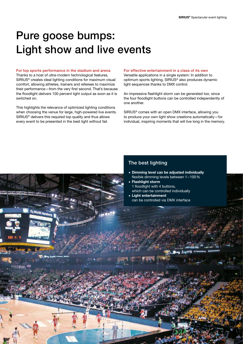## Pure goose bumps: Light show and live events

### For top sports performance in the stadium and arena

Thanks to a host of ultra-modern technological features, SIRIUS® creates ideal lighting conditions for maximum visual comfort, allowing athletes, trainers and referees to maximize their performance—from the very first second. That's because the floodlight delivers 100 percent light output as soon as it is switched on.

This highlights the relevance of optimized lighting conditions when choosing the venue for large, high-powered live events. SIRIUS® delivers this required top quality and thus allows every event to be presented in the best light without fail.

World u

#### For effective entertainment in a class of its own

Versatile applications in a single system: In addition to optimum sports lighting, SIRIUS® also produces dynamic light sequences thanks to DMX control.

An impressive flashlight storm can be generated too, since the four floodlight buttons can be controlled independently of one another.

SIRIUS® comes with an open DMX interface, allowing you to produce your own light show creations automatically—for individual, inspiring moments that will live long in the memory.

### The best lighting

- . Dimming level can be adjusted individually flexible dimming levels between 1–100%
- **Elashlight storm** 1 floodlight with 4 buttons, which can be controlled individually
- . Light entertainment can be controlled via DMX interface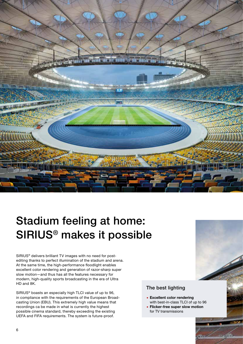

# Stadium feeling at home: SIRIUS® makes it possible

SIRIUS<sup>®</sup> delivers brilliant TV images with no need for postediting thanks to perfect illumination of the stadium and arena. At the same time, the high-performance floodlight enables excellent color rendering and generation of razor-sharp super slow motion—and thus has all the features necessary for modern, high-quality sports broadcasting in the era of Ultra HD and 8K.

SIRIUS® boasts an especially high TLCI value of up to 96, in compliance with the requirements of the European Broadcasting Union (EBU). This extremely high value means that recordings ca be made in what is currently the highest possible cinema standard, thereby exceeding the existing UEFA and FIFA requirements. The system is future-proof.

### The best lighting

- **Excellent color rendering** with best-in-class TLCI of up to 96
- **E.** Flicker-free super slow motion for TV transmissions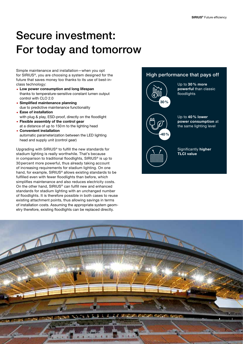# Secure investment: For today and tomorrow

Simple maintenance and installation—when you opt for SIRIUS®, you are choosing a system designed for the future that saves money too thanks to its use of best-inclass technology:

- **Low power consumption and long lifespan** thanks to temperature-sensitive constant lumen output control with CLO 2.0
- **E.** Simplified maintenance planning due to predictive maintenance functionality
- . Ease of installation with plug & play, ESD-proof, directly on the floodlight
- **Elexible assembly of the control gear** at a distance of up to 150m to the lighting head
- . Convenient installation automatic parameterization between the LED lighting head and supply unit (control gear)

Upgrading with SIRIUS® to fulfill the new standards for stadium lighting is really worthwhile. That's because in comparison to traditional floodlights, SIRIUS® is up to 30 percent more powerful, thus already taking account of increasing requirements for stadium lighting. On one hand, for example, SIRIUS® allows existing standards to be fulfilled even with fewer floodlights than before, which simplifies maintenance and also reduces electricity costs. On the other hand, SIRIUS® can fulfill new and enhanced standards for stadium lighting with an unchanged number of floodlights. It is therefore possible in both cases to reuse existing attachment points, thus allowing savings in terms of installation costs. Assuming the appropriate system geometry therefore, existing floodlights can be replaced directly.

### High performance that pays off



Up to 30% more powerful than classic floodlights



Up to 40% lower power consumption at the same lighting level



Significantly higher TLCI value